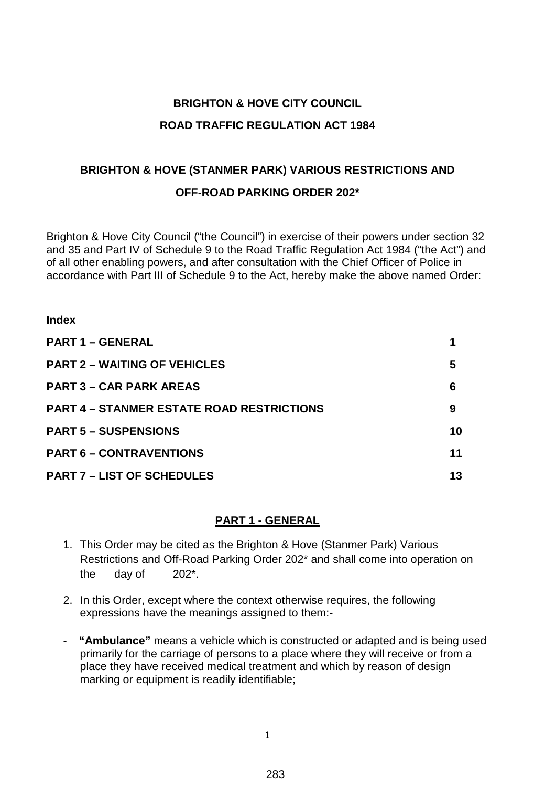# **BRIGHTON & HOVE CITY COUNCIL ROAD TRAFFIC REGULATION ACT 1984**

# **BRIGHTON & HOVE (STANMER PARK) VARIOUS RESTRICTIONS AND OFF-ROAD PARKING ORDER 202\***

Brighton & Hove City Council ("the Council") in exercise of their powers under section 32 and 35 and Part IV of Schedule 9 to the Road Traffic Regulation Act 1984 ("the Act") and of all other enabling powers, and after consultation with the Chief Officer of Police in accordance with Part III of Schedule 9 to the Act, hereby make the above named Order:

| <b>PART 1 - GENERAL</b>                          |    |
|--------------------------------------------------|----|
| <b>PART 2 – WAITING OF VEHICLES</b>              | 5  |
| <b>PART 3 – CAR PARK AREAS</b>                   | 6  |
| <b>PART 4 – STANMER ESTATE ROAD RESTRICTIONS</b> | 9  |
| <b>PART 5 - SUSPENSIONS</b>                      | 10 |
| <b>PART 6 - CONTRAVENTIONS</b>                   | 11 |
| <b>PART 7 - LIST OF SCHEDULES</b>                | 13 |

**Index**

#### **PART 1 - GENERAL**

- 1. This Order may be cited as the Brighton & Hove (Stanmer Park) Various Restrictions and Off-Road Parking Order 202\* and shall come into operation on the day of 202\*.
- 2. In this Order, except where the context otherwise requires, the following expressions have the meanings assigned to them:-
- - **"Ambulance"** means a vehicle which is constructed or adapted and is being used primarily for the carriage of persons to a place where they will receive or from a place they have received medical treatment and which by reason of design marking or equipment is readily identifiable;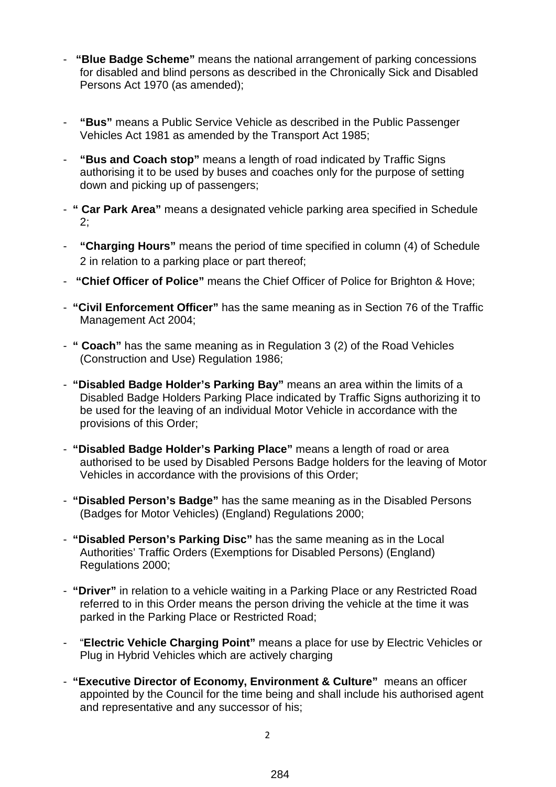- **"Blue Badge Scheme"** means the national arrangement of parking concessions for disabled and blind persons as described in the Chronically Sick and Disabled Persons Act 1970 (as amended);
- **"Bus"** means a Public Service Vehicle as described in the Public Passenger Vehicles Act 1981 as amended by the Transport Act 1985;
- **"Bus and Coach stop"** means a length of road indicated by Traffic Signs authorising it to be used by buses and coaches only for the purpose of setting down and picking up of passengers;
- **" Car Park Area"** means a designated vehicle parking area specified in Schedule 2;
- **"Charging Hours"** means the period of time specified in column (4) of Schedule 2 in relation to a parking place or part thereof;
- **"Chief Officer of Police"** means the Chief Officer of Police for Brighton & Hove;
- **"Civil Enforcement Officer"** has the same meaning as in Section 76 of the Traffic Management Act 2004;
- **" Coach"** has the same meaning as in Regulation 3 (2) of the Road Vehicles (Construction and Use) Regulation 1986;
- **"Disabled Badge Holder's Parking Bay"** means an area within the limits of a Disabled Badge Holders Parking Place indicated by Traffic Signs authorizing it to be used for the leaving of an individual Motor Vehicle in accordance with the provisions of this Order;
- **"Disabled Badge Holder's Parking Place"** means a length of road or area authorised to be used by Disabled Persons Badge holders for the leaving of Motor Vehicles in accordance with the provisions of this Order;
- **"Disabled Person's Badge"** has the same meaning as in the Disabled Persons (Badges for Motor Vehicles) (England) Regulations 2000;
- **"Disabled Person's Parking Disc"** has the same meaning as in the Local Authorities' Traffic Orders (Exemptions for Disabled Persons) (England) Regulations 2000;
- **"Driver"** in relation to a vehicle waiting in a Parking Place or any Restricted Road referred to in this Order means the person driving the vehicle at the time it was parked in the Parking Place or Restricted Road;
- "**Electric Vehicle Charging Point"** means a place for use by Electric Vehicles or Plug in Hybrid Vehicles which are actively charging
- **"Executive Director of Economy, Environment & Culture"** means an officer appointed by the Council for the time being and shall include his authorised agent and representative and any successor of his;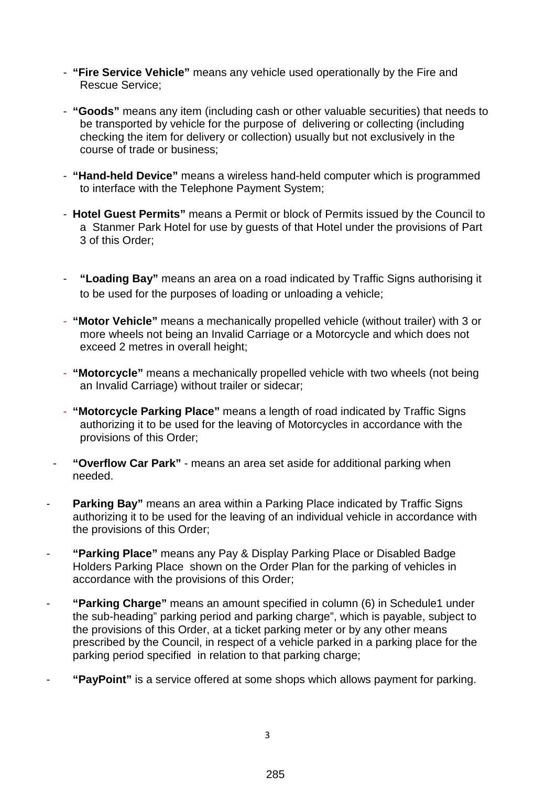- **"Fire Service Vehicle"** means any vehicle used operationally by the Fire and Rescue Service;
- **"Goods"** means any item (including cash or other valuable securities) that needs to be transported by vehicle for the purpose of delivering or collecting (including checking the item for delivery or collection) usually but not exclusively in the course of trade or business;
- **"Hand-held Device"** means a wireless hand-held computer which is programmed to interface with the Telephone Payment System;
- **Hotel Guest Permits"** means a Permit or block of Permits issued by the Council to a Stanmer Park Hotel for use by guests of that Hotel under the provisions of Part 3 of this Order;
- **"Loading Bay"** means an area on a road indicated by Traffic Signs authorising it to be used for the purposes of loading or unloading a vehicle;
- **"Motor Vehicle"** means a mechanically propelled vehicle (without trailer) with 3 or more wheels not being an Invalid Carriage or a Motorcycle and which does not exceed 2 metres in overall height;
- **"Motorcycle"** means a mechanically propelled vehicle with two wheels (not being an Invalid Carriage) without trailer or sidecar;
- **"Motorcycle Parking Place"** means a length of road indicated by Traffic Signs authorizing it to be used for the leaving of Motorcycles in accordance with the provisions of this Order;
- **"Overflow Car Park"** means an area set aside for additional parking when needed.
- **Parking Bay"** means an area within a Parking Place indicated by Traffic Signs authorizing it to be used for the leaving of an individual vehicle in accordance with the provisions of this Order;
- **"Parking Place"** means any Pay & Display Parking Place or Disabled Badge Holders Parking Place shown on the Order Plan for the parking of vehicles in accordance with the provisions of this Order;
- **"Parking Charge"** means an amount specified in column (6) in Schedule1 under the sub-heading" parking period and parking charge", which is payable, subject to the provisions of this Order, at a ticket parking meter or by any other means prescribed by the Council, in respect of a vehicle parked in a parking place for the parking period specified in relation to that parking charge;
- "PayPoint" is a service offered at some shops which allows payment for parking.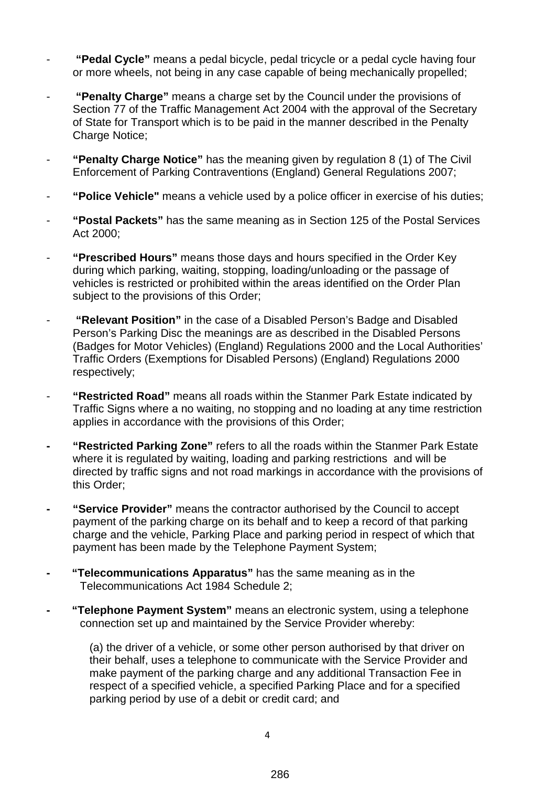- **"Pedal Cycle"** means a pedal bicycle, pedal tricycle or a pedal cycle having four or more wheels, not being in any case capable of being mechanically propelled;
- **"Penalty Charge"** means a charge set by the Council under the provisions of Section 77 of the Traffic Management Act 2004 with the approval of the Secretary of State for Transport which is to be paid in the manner described in the Penalty Charge Notice:
- **"Penalty Charge Notice"** has the meaning given by regulation 8 (1) of The Civil Enforcement of Parking Contraventions (England) General Regulations 2007;
- "Police Vehicle" means a vehicle used by a police officer in exercise of his duties;
- **"Postal Packets"** has the same meaning as in Section 125 of the Postal Services Act 2000;
- **"Prescribed Hours"** means those days and hours specified in the Order Key during which parking, waiting, stopping, loading/unloading or the passage of vehicles is restricted or prohibited within the areas identified on the Order Plan subject to the provisions of this Order;
- **"Relevant Position"** in the case of a Disabled Person's Badge and Disabled Person's Parking Disc the meanings are as described in the Disabled Persons (Badges for Motor Vehicles) (England) Regulations 2000 and the Local Authorities' Traffic Orders (Exemptions for Disabled Persons) (England) Regulations 2000 respectively;
- **"Restricted Road"** means all roads within the Stanmer Park Estate indicated by Traffic Signs where a no waiting, no stopping and no loading at any time restriction applies in accordance with the provisions of this Order;
- **- "Restricted Parking Zone"** refers to all the roads within the Stanmer Park Estate where it is regulated by waiting, loading and parking restrictions and will be directed by traffic signs and not road markings in accordance with the provisions of this Order;
- **- "Service Provider"** means the contractor authorised by the Council to accept payment of the parking charge on its behalf and to keep a record of that parking charge and the vehicle, Parking Place and parking period in respect of which that payment has been made by the Telephone Payment System;
- **"Telecommunications Apparatus"** has the same meaning as in the Telecommunications Act 1984 Schedule 2;
- **"Telephone Payment System"** means an electronic system, using a telephone connection set up and maintained by the Service Provider whereby:

(a) the driver of a vehicle, or some other person authorised by that driver on their behalf, uses a telephone to communicate with the Service Provider and make payment of the parking charge and any additional Transaction Fee in respect of a specified vehicle, a specified Parking Place and for a specified parking period by use of a debit or credit card; and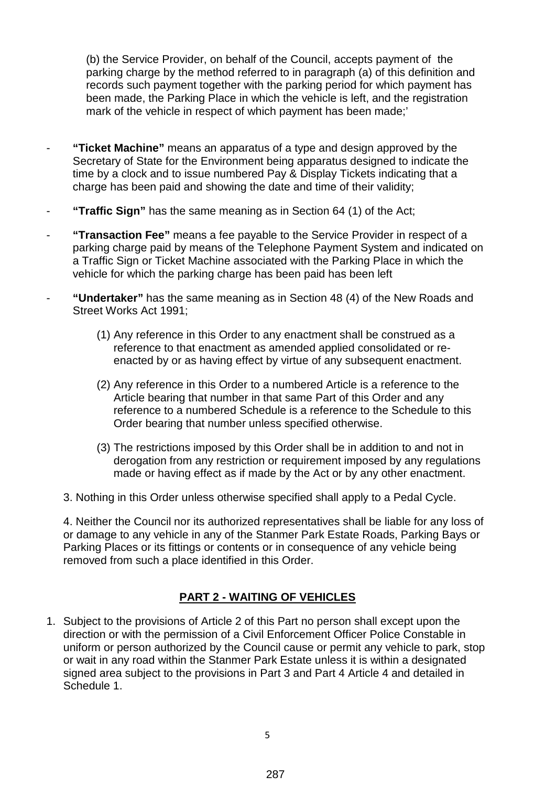(b) the Service Provider, on behalf of the Council, accepts payment of the parking charge by the method referred to in paragraph (a) of this definition and records such payment together with the parking period for which payment has been made, the Parking Place in which the vehicle is left, and the registration mark of the vehicle in respect of which payment has been made;'

- **"Ticket Machine"** means an apparatus of a type and design approved by the Secretary of State for the Environment being apparatus designed to indicate the time by a clock and to issue numbered Pay & Display Tickets indicating that a charge has been paid and showing the date and time of their validity;
- **"Traffic Sign"** has the same meaning as in Section 64 (1) of the Act;
- **"Transaction Fee"** means a fee payable to the Service Provider in respect of a parking charge paid by means of the Telephone Payment System and indicated on a Traffic Sign or Ticket Machine associated with the Parking Place in which the vehicle for which the parking charge has been paid has been left
- **"Undertaker"** has the same meaning as in Section 48 (4) of the New Roads and Street Works Act 1991;
	- (1) Any reference in this Order to any enactment shall be construed as a reference to that enactment as amended applied consolidated or reenacted by or as having effect by virtue of any subsequent enactment.
	- (2) Any reference in this Order to a numbered Article is a reference to the Article bearing that number in that same Part of this Order and any reference to a numbered Schedule is a reference to the Schedule to this Order bearing that number unless specified otherwise.
	- (3) The restrictions imposed by this Order shall be in addition to and not in derogation from any restriction or requirement imposed by any regulations made or having effect as if made by the Act or by any other enactment.
	- 3. Nothing in this Order unless otherwise specified shall apply to a Pedal Cycle.

4. Neither the Council nor its authorized representatives shall be liable for any loss of or damage to any vehicle in any of the Stanmer Park Estate Roads, Parking Bays or Parking Places or its fittings or contents or in consequence of any vehicle being removed from such a place identified in this Order.

# **PART 2 - WAITING OF VEHICLES**

1. Subject to the provisions of Article 2 of this Part no person shall except upon the direction or with the permission of a Civil Enforcement Officer Police Constable in uniform or person authorized by the Council cause or permit any vehicle to park, stop or wait in any road within the Stanmer Park Estate unless it is within a designated signed area subject to the provisions in Part 3 and Part 4 Article 4 and detailed in Schedule 1.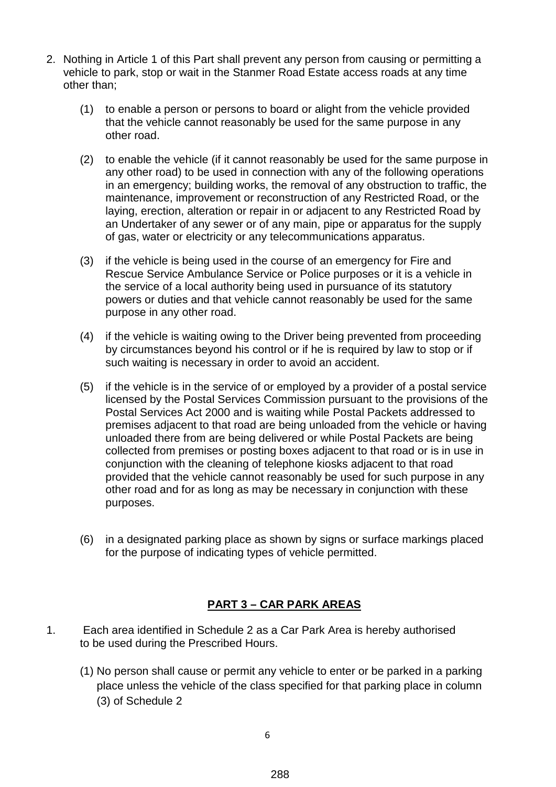- 2. Nothing in Article 1 of this Part shall prevent any person from causing or permitting a vehicle to park, stop or wait in the Stanmer Road Estate access roads at any time other than;
	- (1) to enable a person or persons to board or alight from the vehicle provided that the vehicle cannot reasonably be used for the same purpose in any other road.
	- (2) to enable the vehicle (if it cannot reasonably be used for the same purpose in any other road) to be used in connection with any of the following operations in an emergency; building works, the removal of any obstruction to traffic, the maintenance, improvement or reconstruction of any Restricted Road, or the laying, erection, alteration or repair in or adjacent to any Restricted Road by an Undertaker of any sewer or of any main, pipe or apparatus for the supply of gas, water or electricity or any telecommunications apparatus.
	- (3) if the vehicle is being used in the course of an emergency for Fire and Rescue Service Ambulance Service or Police purposes or it is a vehicle in the service of a local authority being used in pursuance of its statutory powers or duties and that vehicle cannot reasonably be used for the same purpose in any other road.
	- (4) if the vehicle is waiting owing to the Driver being prevented from proceeding by circumstances beyond his control or if he is required by law to stop or if such waiting is necessary in order to avoid an accident.
	- (5) if the vehicle is in the service of or employed by a provider of a postal service licensed by the Postal Services Commission pursuant to the provisions of the Postal Services Act 2000 and is waiting while Postal Packets addressed to premises adjacent to that road are being unloaded from the vehicle or having unloaded there from are being delivered or while Postal Packets are being collected from premises or posting boxes adjacent to that road or is in use in conjunction with the cleaning of telephone kiosks adjacent to that road provided that the vehicle cannot reasonably be used for such purpose in any other road and for as long as may be necessary in conjunction with these purposes.
	- (6) in a designated parking place as shown by signs or surface markings placed for the purpose of indicating types of vehicle permitted.

### **PART 3 – CAR PARK AREAS**

- 1. Each area identified in Schedule 2 as a Car Park Area is hereby authorised to be used during the Prescribed Hours.
	- (1) No person shall cause or permit any vehicle to enter or be parked in a parking place unless the vehicle of the class specified for that parking place in column (3) of Schedule 2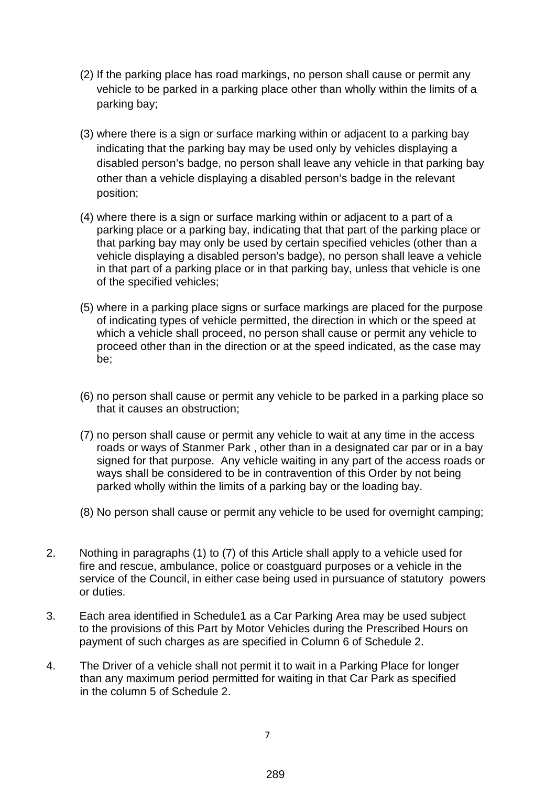- (2) If the parking place has road markings, no person shall cause or permit any vehicle to be parked in a parking place other than wholly within the limits of a parking bay;
- (3) where there is a sign or surface marking within or adjacent to a parking bay indicating that the parking bay may be used only by vehicles displaying a disabled person's badge, no person shall leave any vehicle in that parking bay other than a vehicle displaying a disabled person's badge in the relevant position;
- (4) where there is a sign or surface marking within or adjacent to a part of a parking place or a parking bay, indicating that that part of the parking place or that parking bay may only be used by certain specified vehicles (other than a vehicle displaying a disabled person's badge), no person shall leave a vehicle in that part of a parking place or in that parking bay, unless that vehicle is one of the specified vehicles;
- (5) where in a parking place signs or surface markings are placed for the purpose of indicating types of vehicle permitted, the direction in which or the speed at which a vehicle shall proceed, no person shall cause or permit any vehicle to proceed other than in the direction or at the speed indicated, as the case may be;
- (6) no person shall cause or permit any vehicle to be parked in a parking place so that it causes an obstruction;
- (7) no person shall cause or permit any vehicle to wait at any time in the access roads or ways of Stanmer Park , other than in a designated car par or in a bay signed for that purpose. Any vehicle waiting in any part of the access roads or ways shall be considered to be in contravention of this Order by not being parked wholly within the limits of a parking bay or the loading bay.
- (8) No person shall cause or permit any vehicle to be used for overnight camping;
- 2. Nothing in paragraphs (1) to (7) of this Article shall apply to a vehicle used for fire and rescue, ambulance, police or coastguard purposes or a vehicle in the service of the Council, in either case being used in pursuance of statutory powers or duties.
- 3. Each area identified in Schedule1 as a Car Parking Area may be used subject to the provisions of this Part by Motor Vehicles during the Prescribed Hours on payment of such charges as are specified in Column 6 of Schedule 2.
- 4. The Driver of a vehicle shall not permit it to wait in a Parking Place for longer than any maximum period permitted for waiting in that Car Park as specified in the column 5 of Schedule 2.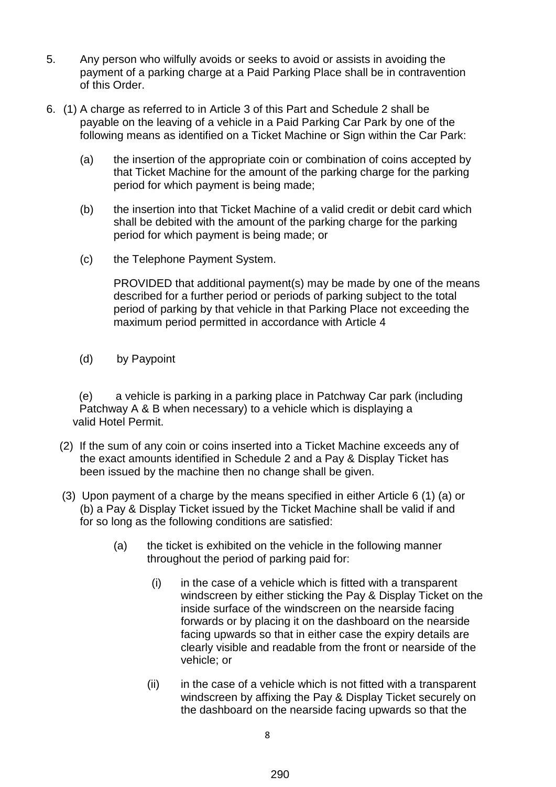- 5. Any person who wilfully avoids or seeks to avoid or assists in avoiding the payment of a parking charge at a Paid Parking Place shall be in contravention of this Order.
- 6. (1) A charge as referred to in Article 3 of this Part and Schedule 2 shall be payable on the leaving of a vehicle in a Paid Parking Car Park by one of the following means as identified on a Ticket Machine or Sign within the Car Park:
	- (a) the insertion of the appropriate coin or combination of coins accepted by that Ticket Machine for the amount of the parking charge for the parking period for which payment is being made;
	- (b) the insertion into that Ticket Machine of a valid credit or debit card which shall be debited with the amount of the parking charge for the parking period for which payment is being made; or
	- (c) the Telephone Payment System.

PROVIDED that additional payment(s) may be made by one of the means described for a further period or periods of parking subject to the total period of parking by that vehicle in that Parking Place not exceeding the maximum period permitted in accordance with Article 4

(d) by Paypoint

 (e) a vehicle is parking in a parking place in Patchway Car park (including Patchway A & B when necessary) to a vehicle which is displaying a valid Hotel Permit.

- (2) If the sum of any coin or coins inserted into a Ticket Machine exceeds any of the exact amounts identified in Schedule 2 and a Pay & Display Ticket has been issued by the machine then no change shall be given.
- (3) Upon payment of a charge by the means specified in either Article 6 (1) (a) or (b) a Pay & Display Ticket issued by the Ticket Machine shall be valid if and for so long as the following conditions are satisfied:
	- (a) the ticket is exhibited on the vehicle in the following manner throughout the period of parking paid for:
		- $(i)$  in the case of a vehicle which is fitted with a transparent windscreen by either sticking the Pay & Display Ticket on the inside surface of the windscreen on the nearside facing forwards or by placing it on the dashboard on the nearside facing upwards so that in either case the expiry details are clearly visible and readable from the front or nearside of the vehicle; or
		- $(ii)$  in the case of a vehicle which is not fitted with a transparent windscreen by affixing the Pay & Display Ticket securely on the dashboard on the nearside facing upwards so that the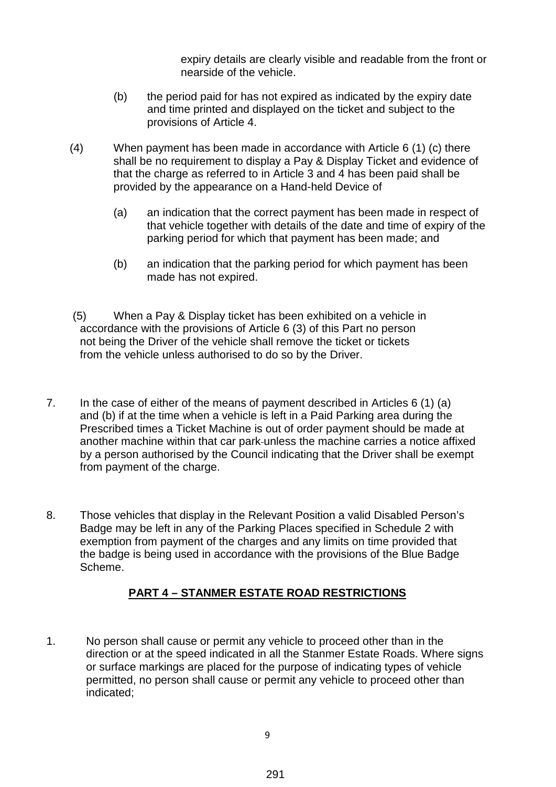expiry details are clearly visible and readable from the front or nearside of the vehicle.

- (b) the period paid for has not expired as indicated by the expiry date and time printed and displayed on the ticket and subject to the provisions of Article 4.
- (4) When payment has been made in accordance with Article 6 (1) (c) there shall be no requirement to display a Pay & Display Ticket and evidence of that the charge as referred to in Article 3 and 4 has been paid shall be provided by the appearance on a Hand-held Device of
	- (a) an indication that the correct payment has been made in respect of that vehicle together with details of the date and time of expiry of the parking period for which that payment has been made; and
	- (b) an indication that the parking period for which payment has been made has not expired.
- (5) When a Pay & Display ticket has been exhibited on a vehicle in accordance with the provisions of Article 6 (3) of this Part no person not being the Driver of the vehicle shall remove the ticket or tickets from the vehicle unless authorised to do so by the Driver.
- 7. In the case of either of the means of payment described in Articles 6 (1) (a) and (b) if at the time when a vehicle is left in a Paid Parking area during the Prescribed times a Ticket Machine is out of order payment should be made at another machine within that car park unless the machine carries a notice affixed by a person authorised by the Council indicating that the Driver shall be exempt from payment of the charge.
- 8. Those vehicles that display in the Relevant Position a valid Disabled Person's Badge may be left in any of the Parking Places specified in Schedule 2 with exemption from payment of the charges and any limits on time provided that the badge is being used in accordance with the provisions of the Blue Badge Scheme.

# **PART 4 – STANMER ESTATE ROAD RESTRICTIONS**

1. No person shall cause or permit any vehicle to proceed other than in the direction or at the speed indicated in all the Stanmer Estate Roads. Where signs or surface markings are placed for the purpose of indicating types of vehicle permitted, no person shall cause or permit any vehicle to proceed other than indicated;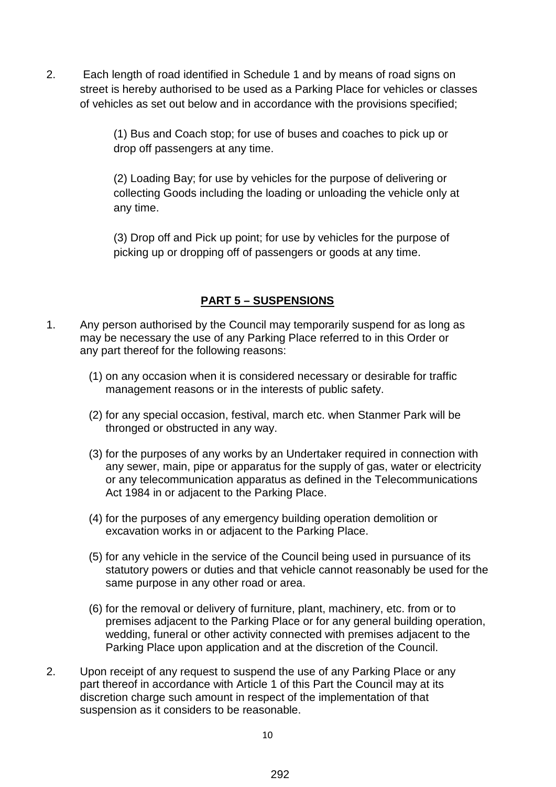2. Each length of road identified in Schedule 1 and by means of road signs on street is hereby authorised to be used as a Parking Place for vehicles or classes of vehicles as set out below and in accordance with the provisions specified;

> (1) Bus and Coach stop; for use of buses and coaches to pick up or drop off passengers at any time.

(2) Loading Bay; for use by vehicles for the purpose of delivering or collecting Goods including the loading or unloading the vehicle only at any time.

(3) Drop off and Pick up point; for use by vehicles for the purpose of picking up or dropping off of passengers or goods at any time.

### **PART 5 – SUSPENSIONS**

- 1. Any person authorised by the Council may temporarily suspend for as long as may be necessary the use of any Parking Place referred to in this Order or any part thereof for the following reasons:
	- (1) on any occasion when it is considered necessary or desirable for traffic management reasons or in the interests of public safety.
	- (2) for any special occasion, festival, march etc. when Stanmer Park will be thronged or obstructed in any way.
	- (3) for the purposes of any works by an Undertaker required in connection with any sewer, main, pipe or apparatus for the supply of gas, water or electricity or any telecommunication apparatus as defined in the Telecommunications Act 1984 in or adjacent to the Parking Place.
	- (4) for the purposes of any emergency building operation demolition or excavation works in or adjacent to the Parking Place.
	- (5) for any vehicle in the service of the Council being used in pursuance of its statutory powers or duties and that vehicle cannot reasonably be used for the same purpose in any other road or area.
	- (6) for the removal or delivery of furniture, plant, machinery, etc. from or to premises adjacent to the Parking Place or for any general building operation, wedding, funeral or other activity connected with premises adjacent to the Parking Place upon application and at the discretion of the Council.
- 2. Upon receipt of any request to suspend the use of any Parking Place or any part thereof in accordance with Article 1 of this Part the Council may at its discretion charge such amount in respect of the implementation of that suspension as it considers to be reasonable.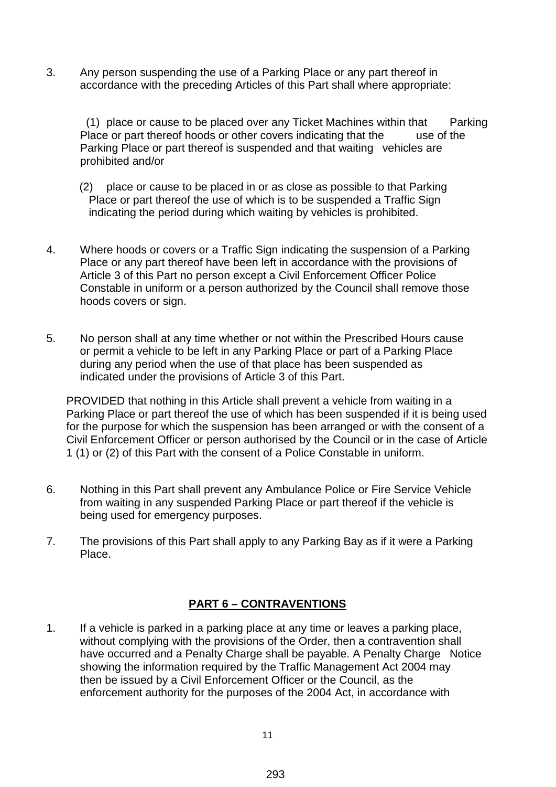3. Any person suspending the use of a Parking Place or any part thereof in accordance with the preceding Articles of this Part shall where appropriate:

(1) place or cause to be placed over any Ticket Machines within that Parking Place or part thereof hoods or other covers indicating that the use of the Parking Place or part thereof is suspended and that waiting vehicles are prohibited and/or

- (2) place or cause to be placed in or as close as possible to that Parking Place or part thereof the use of which is to be suspended a Traffic Sign indicating the period during which waiting by vehicles is prohibited.
- 4. Where hoods or covers or a Traffic Sign indicating the suspension of a Parking Place or any part thereof have been left in accordance with the provisions of Article 3 of this Part no person except a Civil Enforcement Officer Police Constable in uniform or a person authorized by the Council shall remove those hoods covers or sign.
- 5. No person shall at any time whether or not within the Prescribed Hours cause or permit a vehicle to be left in any Parking Place or part of a Parking Place during any period when the use of that place has been suspended as indicated under the provisions of Article 3 of this Part.

PROVIDED that nothing in this Article shall prevent a vehicle from waiting in a Parking Place or part thereof the use of which has been suspended if it is being used for the purpose for which the suspension has been arranged or with the consent of a Civil Enforcement Officer or person authorised by the Council or in the case of Article 1 (1) or (2) of this Part with the consent of a Police Constable in uniform.

- 6. Nothing in this Part shall prevent any Ambulance Police or Fire Service Vehicle from waiting in any suspended Parking Place or part thereof if the vehicle is being used for emergency purposes.
- 7. The provisions of this Part shall apply to any Parking Bay as if it were a Parking Place.

#### **PART 6 – CONTRAVENTIONS**

1. If a vehicle is parked in a parking place at any time or leaves a parking place, without complying with the provisions of the Order, then a contravention shall have occurred and a Penalty Charge shall be payable. A Penalty Charge Notice showing the information required by the Traffic Management Act 2004 may then be issued by a Civil Enforcement Officer or the Council, as the enforcement authority for the purposes of the 2004 Act, in accordance with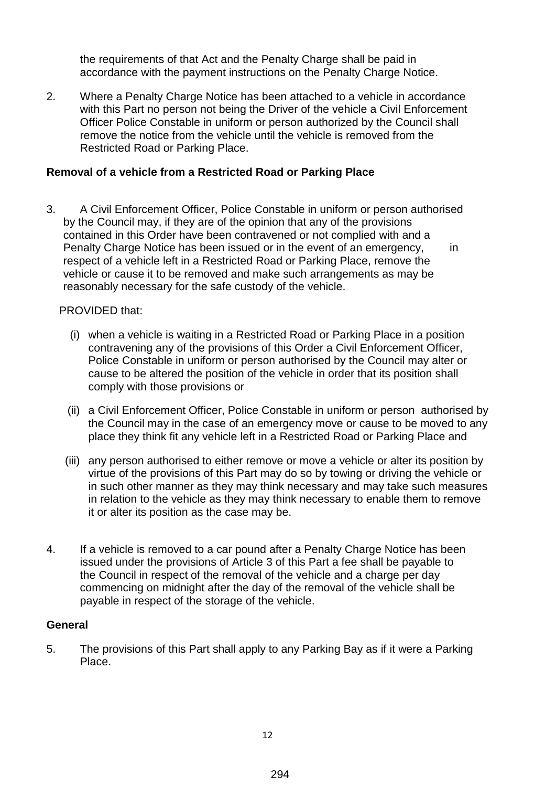the requirements of that Act and the Penalty Charge shall be paid in accordance with the payment instructions on the Penalty Charge Notice.

2. Where a Penalty Charge Notice has been attached to a vehicle in accordance with this Part no person not being the Driver of the vehicle a Civil Enforcement Officer Police Constable in uniform or person authorized by the Council shall remove the notice from the vehicle until the vehicle is removed from the Restricted Road or Parking Place.

#### **Removal of a vehicle from a Restricted Road or Parking Place**

3. A Civil Enforcement Officer, Police Constable in uniform or person authorised by the Council may, if they are of the opinion that any of the provisions contained in this Order have been contravened or not complied with and a Penalty Charge Notice has been issued or in the event of an emergency, in respect of a vehicle left in a Restricted Road or Parking Place, remove the vehicle or cause it to be removed and make such arrangements as may be reasonably necessary for the safe custody of the vehicle.

#### PROVIDED that:

- (i) when a vehicle is waiting in a Restricted Road or Parking Place in a position contravening any of the provisions of this Order a Civil Enforcement Officer, Police Constable in uniform or person authorised by the Council may alter or cause to be altered the position of the vehicle in order that its position shall comply with those provisions or
- (ii) a Civil Enforcement Officer, Police Constable in uniform or person authorised by the Council may in the case of an emergency move or cause to be moved to any place they think fit any vehicle left in a Restricted Road or Parking Place and
- (iii) any person authorised to either remove or move a vehicle or alter its position by virtue of the provisions of this Part may do so by towing or driving the vehicle or in such other manner as they may think necessary and may take such measures in relation to the vehicle as they may think necessary to enable them to remove it or alter its position as the case may be.
- 4. If a vehicle is removed to a car pound after a Penalty Charge Notice has been issued under the provisions of Article 3 of this Part a fee shall be payable to the Council in respect of the removal of the vehicle and a charge per day commencing on midnight after the day of the removal of the vehicle shall be payable in respect of the storage of the vehicle.

#### **General**

5. The provisions of this Part shall apply to any Parking Bay as if it were a Parking Place.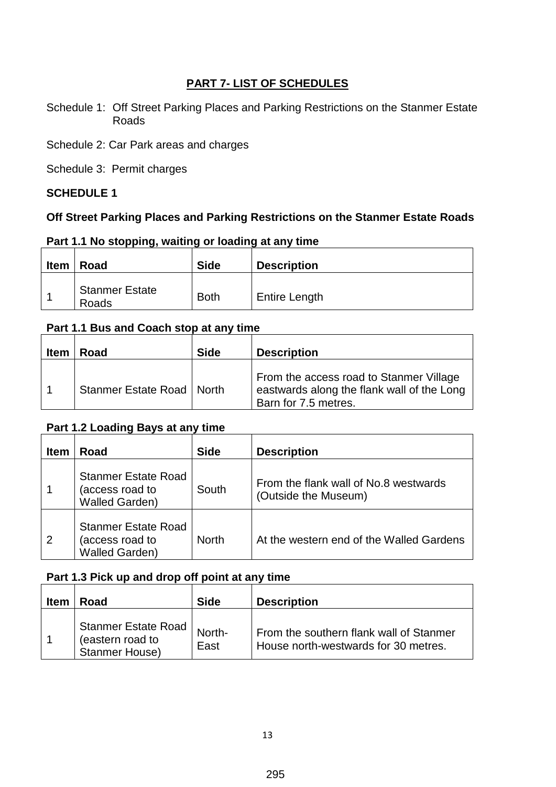### **PART 7- LIST OF SCHEDULES**

Schedule 1: Off Street Parking Places and Parking Restrictions on the Stanmer Estate Roads

Schedule 2: Car Park areas and charges

Schedule 3: Permit charges

#### **SCHEDULE 1**

### **Off Street Parking Places and Parking Restrictions on the Stanmer Estate Roads**

# **Part 1.1 No stopping, waiting or loading at any time**

| <b>Item</b> | Road                           | <b>Side</b> | <b>Description</b>   |
|-------------|--------------------------------|-------------|----------------------|
|             | <b>Stanmer Estate</b><br>Roads | <b>Both</b> | <b>Entire Length</b> |

# **Part 1.1 Bus and Coach stop at any time**

| <b>Item</b> | Road                        | <b>Side</b> | <b>Description</b>                                                                                            |
|-------------|-----------------------------|-------------|---------------------------------------------------------------------------------------------------------------|
|             | Stanmer Estate Road   North |             | From the access road to Stanmer Village<br>eastwards along the flank wall of the Long<br>Barn for 7.5 metres. |

### **Part 1.2 Loading Bays at any time**

| <b>Item</b>    | Road                                                                   | <b>Side</b>  | <b>Description</b>                                            |
|----------------|------------------------------------------------------------------------|--------------|---------------------------------------------------------------|
|                | <b>Stanmer Estate Road</b><br>(access road to<br><b>Walled Garden)</b> | South        | From the flank wall of No.8 westwards<br>(Outside the Museum) |
| $\overline{2}$ | <b>Stanmer Estate Road</b><br>(access road to<br><b>Walled Garden)</b> | <b>North</b> | At the western end of the Walled Gardens                      |

# **Part 1.3 Pick up and drop off point at any time**

| <b>Item</b> | Road                                                             | <b>Side</b>    | <b>Description</b>                                                              |
|-------------|------------------------------------------------------------------|----------------|---------------------------------------------------------------------------------|
|             | Stanmer Estate Road<br>(eastern road to<br><b>Stanmer House)</b> | North-<br>East | From the southern flank wall of Stanmer<br>House north-westwards for 30 metres. |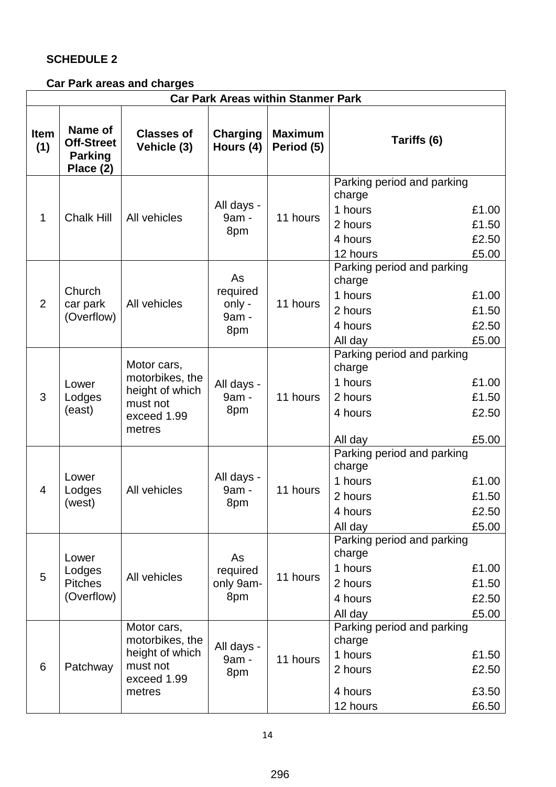# **SCHEDULE 2**

# **Car Park areas and charges**

| <b>Car Park Areas within Stanmer Park</b> |                                                             |                                                                                        |                                          |                              |                                                                                   |                                  |
|-------------------------------------------|-------------------------------------------------------------|----------------------------------------------------------------------------------------|------------------------------------------|------------------------------|-----------------------------------------------------------------------------------|----------------------------------|
| <b>Item</b><br>(1)                        | Name of<br><b>Off-Street</b><br><b>Parking</b><br>Place (2) | <b>Classes of</b><br>Vehicle (3)                                                       | <b>Charging</b><br>Hours (4)             | <b>Maximum</b><br>Period (5) | Tariffs (6)                                                                       |                                  |
| 1                                         | <b>Chalk Hill</b>                                           | All vehicles                                                                           | All days -<br>9am -<br>8pm               | 11 hours                     | Parking period and parking<br>charge<br>1 hours<br>2 hours<br>4 hours<br>12 hours | £1.00<br>£1.50<br>£2.50<br>£5.00 |
| $\overline{2}$                            | Church<br>car park<br>(Overflow)                            | All vehicles                                                                           | As<br>required<br>only -<br>9am -<br>8pm | 11 hours                     | Parking period and parking<br>charge<br>1 hours<br>2 hours<br>4 hours<br>All day  | £1.00<br>£1.50<br>£2.50<br>£5.00 |
| 3                                         | Lower<br>Lodges<br>(east)                                   | Motor cars,<br>motorbikes, the<br>height of which<br>must not<br>exceed 1.99<br>metres | All days -<br>9am -<br>8pm               | 11 hours                     | Parking period and parking<br>charge<br>1 hours<br>2 hours<br>4 hours<br>All day  | £1.00<br>£1.50<br>£2.50<br>£5.00 |
| 4                                         | Lower<br>Lodges<br>(west)                                   | All vehicles                                                                           | All days -<br>9am -<br>8pm               | 11 hours                     | Parking period and parking<br>charge<br>1 hours<br>2 hours<br>4 hours<br>All day  | £1.00<br>£1.50<br>£2.50<br>£5.00 |
| 5                                         | Lower<br>Lodges<br><b>Pitches</b><br>(Overflow)             | All vehicles                                                                           | As<br>required<br>only 9am-<br>8pm       | 11 hours                     | Parking period and parking<br>charge<br>1 hours<br>2 hours<br>4 hours<br>All day  | £1.00<br>£1.50<br>£2.50<br>£5.00 |
| 6                                         | Patchway                                                    | Motor cars,<br>motorbikes, the<br>height of which<br>must not<br>exceed 1.99<br>metres | All days -<br>9am -<br>8pm               | 11 hours                     | Parking period and parking<br>charge<br>1 hours<br>2 hours<br>4 hours<br>12 hours | £1.50<br>£2.50<br>£3.50<br>£6.50 |